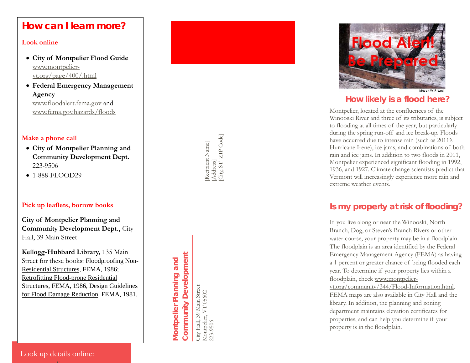# **How can I learn more?**

#### **[Look online](http://www.montpelier-vt.org/community/344/Flood-Information.html?id=sGatgg4Q)**

- **[City of](http://www.montpelier-vt.org/community/344/Flood-Information.html?id=sGatgg4Q) [Montpelier Flood Guide](http://www.montpelier-vt.org/community/344/Flood-Information.html?id=sGatgg4Q)** [www.montpelier](http://www.montpelier-vt.org/community/344/Flood-Information.html?id=sGatgg4Q)[vt.org/page/400/.html](http://www.montpelier-vt.org/page/400/.html)
- **[Federal Emergency](http://www.floodalert.fema.gov/) Management Agency** [www.floodalert.fema.gov](http://www.fema.gov/hazards/floods) and

[www.fema.gov.hazards/floods](http://www.fema.gov.hazards/floods)

#### **[Make a phone cal](http://www.floods.org/ace-files/documentlibrary/FEMA/FEMA_Mitigation_Ideas.pdf)l**

- • **City of Montpelier Planning and**  223 -9506 **Community Development Dept.**
- 1-888-FLOOD29

#### **Pick up leaflets, borrow books**

 **Community Development Dept.,** City Hall, 39 Main Street **City of Montpelier Planning and** 

**Kellogg -Hubbard Library,** 135 Main Street for these books: Floodproofing Non-Residential Structures, FEMA, 1986; Retrofitting Flood -prone Residential Structures, FEMA, 1986, Design Guidelines for Flood Damage Reduction, FEMA, 1981.

[Recipient Name] [Recipient Name]<br>[Address]<br>[City, ST ZIP Code] [City, ST ZIP Code]

# **Community Development Community Development Montpelier Planning and**  Montpelier Planning and

City Hall, 39 Main Street<br>Montpelier, VT 05602<br>223-9506 City Hall, 39 Main Street Montpelier, VT 05602 223-9506



Megan W. Picard

#### **How likely is a flood here ?**

Montpelier, located at the confluences of the Winooski River and three of its tributaries, is subject to flooding at all times of the year, but particularly during the spring run -off and ice break -up. Floods have occurred due to intense rain (such as 2011's Hurricane Irene), ice jams, and combinations of both rain and ice jams. In addition to two floods in 2011, Montpelier experienced significant flooding in 1992, 1936, and 1927. Climate change scientists predict that Vermont will increasingly experience more rain and extreme weather events.

## **Is my property at risk of flooding?**

If you live along or near the Winooski, North Branch, Dog, or Steven's Branch Rivers or other water course, your property may be in a floodplain. The floodplain is an area identified by the Federal Emergency Management Agency (FEMA) as having a 1 percent or greater chance of being flooded each year. To determine if your property lies within a floodplain, check [www.montpelier](http://www.montpelier-vt.org/community/344/Flood-Information.html)[vt.org/community/344/Flood](http://www.montpelier-vt.org/community/344/Flood-Information.html) -Information.html. FEMA maps are also available in City Hall and the library. In addition, the planning and zoning department maintains elevation certificates for properties, and can help you determine if your property is in the floodplain .

 Look up details online: ww.montpelier.com and the second second